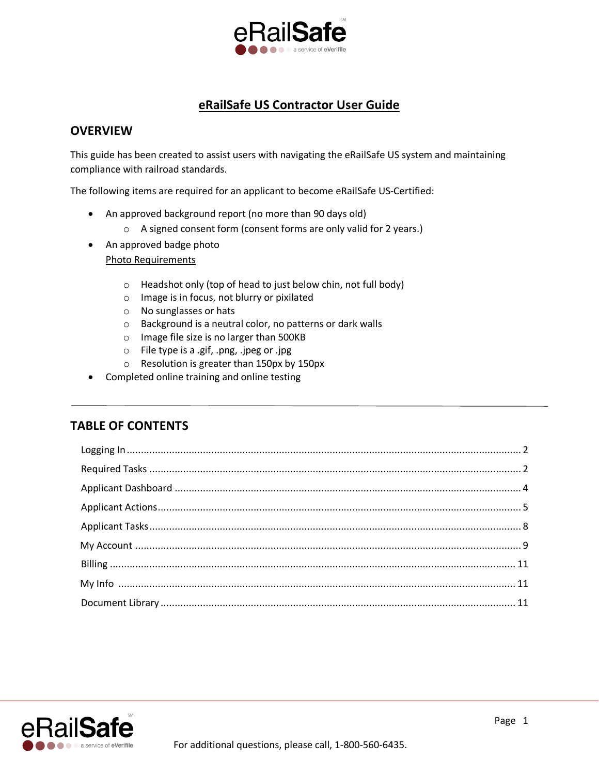

# **eRailSafe US Contractor User Guide**

# **OVERVIEW**

This guide has been created to assist users with navigating the eRailSafe US system and maintaining compliance with railroad standards.

The following items are required for an applicant to become eRailSafe US-Certified:

- An approved background report (no more than 90 days old)
	- o A signed consent form (consent forms are only valid for 2 years.)
- An approved badge photo Photo Requirements
	- o Headshot only (top of head to just below chin, not full body)
	- o Image is in focus, not blurry or pixilated
	- o No sunglasses or hats
	- o Background is a neutral color, no patterns or dark walls
	- o Image file size is no larger than 500KB
	- o File type is a .gif, .png, .jpeg or .jpg
	- o Resolution is greater than 150px by 150px
- Completed online training and online testing

# **TABLE OF CONTENTS**

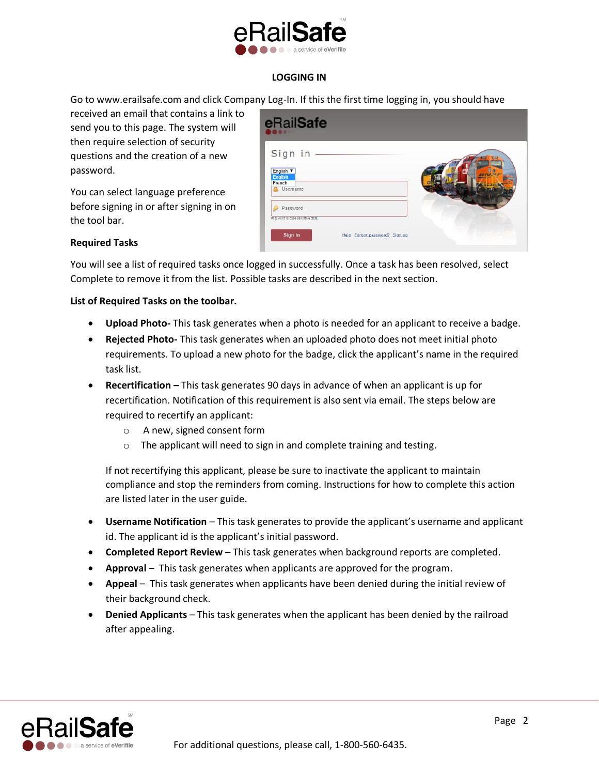

# **LOGGING IN**

Go to www.erailsafe.com and click Company Log-In. If this the first time logging in, you should have

received an email that contains a link to send you to this page. The system will then require selection of security questions and the creation of a new password.

You can select language preference before signing in or after signing in on the tool bar.

| eRailSafe                                                                                |  |
|------------------------------------------------------------------------------------------|--|
| Sign in -<br>English v<br><b>English</b><br>French<br><b>Username</b>                    |  |
| Password<br>Password is case sensitive data.<br>Sign in<br>Help Forgot password? Sign up |  |

# **Required Tasks**

You will see a list of required tasks once logged in successfully. Once a task has been resolved, select Complete to remove it from the list. Possible tasks are described in the next section.

### **List of Required Tasks on the toolbar.**

- **Upload Photo-** This task generates when a photo is needed for an applicant to receive a badge.
- **Rejected Photo-** This task generates when an uploaded photo does not meet initial photo requirements. To upload a new photo for the badge, click the applicant's name in the required task list.
- **Recertification –** This task generates 90 days in advance of when an applicant is up for recertification. Notification of this requirement is also sent via email. The steps below are required to recertify an applicant:
	- o A new, signed consent form
	- o The applicant will need to sign in and complete training and testing.

If not recertifying this applicant, please be sure to inactivate the applicant to maintain compliance and stop the reminders from coming. Instructions for how to complete this action are listed later in the user guide.

- **Username Notification** This task generates to provide the applicant's username and applicant id. The applicant id is the applicant's initial password.
- **Completed Report Review** This task generates when background reports are completed.
- **Approval** This task generates when applicants are approved for the program.
- **Appeal** This task generates when applicants have been denied during the initial review of their background check.
- **Denied Applicants** This task generates when the applicant has been denied by the railroad after appealing.

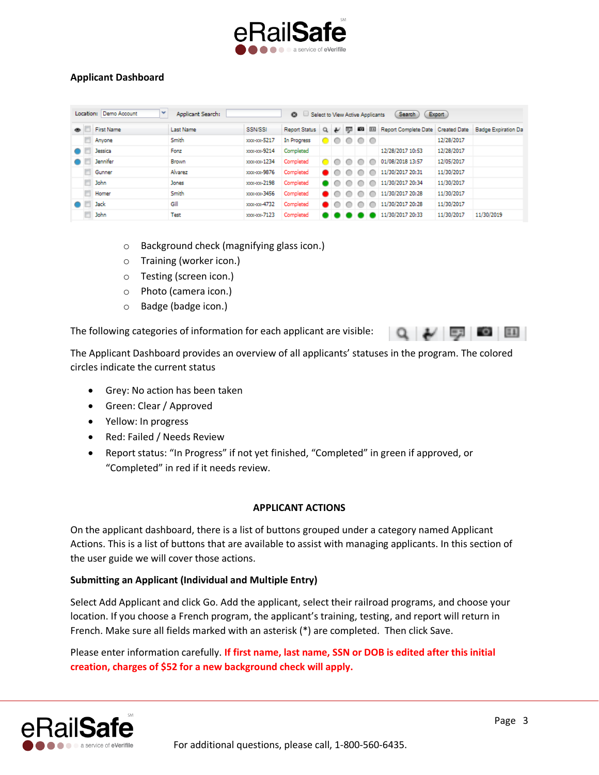

# **Applicant Dashboard**

|           | Location: Demo Account<br>$\checkmark$<br>Applicant Search:<br>Export<br><b>Search</b><br>Select to View Active Applicants<br>$\boldsymbol{\Omega}$ |                   |                  |             |                      |          |                  |   |                 |       |                                   |            |                            |
|-----------|-----------------------------------------------------------------------------------------------------------------------------------------------------|-------------------|------------------|-------------|----------------------|----------|------------------|---|-----------------|-------|-----------------------------------|------------|----------------------------|
| $\bullet$ |                                                                                                                                                     | <b>First Name</b> | <b>Last Name</b> | SSN/SSI     | <b>Report Status</b> | $\alpha$ | $\overline{\nu}$ | 马 | Ð               | $\Xi$ | Report Complete Date Created Date |            | <b>Badge Expiration Da</b> |
|           |                                                                                                                                                     | Anyone            | Smith            | xxx-xx-5217 | In Progress          | DI       |                  |   | $\circ$ $\circ$ |       |                                   | 12/28/2017 |                            |
|           |                                                                                                                                                     | Jessica           | Fonz             | xxx xx 9214 | Completed            |          |                  |   |                 |       | 12/28/2017 10:53                  | 12/28/2017 |                            |
|           |                                                                                                                                                     | <b>Jennifer</b>   | Brown            | xxx-xx-1234 | Completed            |          |                  |   |                 | c     | 01/08/2018 13:57                  | 12/05/2017 |                            |
|           |                                                                                                                                                     | Gunner            | Alvarez          | xxx-xx-9876 | Completed            |          |                  |   |                 |       | 11/30/2017 20:31                  | 11/30/2017 |                            |
|           |                                                                                                                                                     | John              | Jones            | xxx-xx-2198 | Completed            |          |                  |   |                 | o     | 11/30/2017 20:34                  | 11/30/2017 |                            |
|           |                                                                                                                                                     | Homer             | Smith            | xxx-xx-3456 | Completed            |          |                  |   |                 |       | 11/30/2017 20:28                  | 11/30/2017 |                            |
|           |                                                                                                                                                     | <b>Jack</b>       | Gill             | xxx-xx-4732 | Completed            |          |                  |   |                 | С     | 11/30/2017 20:28                  | 11/30/2017 |                            |
|           |                                                                                                                                                     | John              | Test             | xxx xx 7123 | Completed            |          |                  |   |                 |       | 11/30/2017 20:33                  | 11/30/2017 | 11/30/2019                 |

- o Background check (magnifying glass icon.)
- o Training (worker icon.)
- o Testing (screen icon.)
- o Photo (camera icon.)
- o Badge (badge icon.)

The following categories of information for each applicant are visible:

The Applicant Dashboard provides an overview of all applicants' statuses in the program. The colored circles indicate the current status

- Grey: No action has been taken
- Green: Clear / Approved
- Yellow: In progress
- Red: Failed / Needs Review
- Report status: "In Progress" if not yet finished, "Completed" in green if approved, or "Completed" in red if it needs review.

# **APPLICANT ACTIONS**

On the applicant dashboard, there is a list of buttons grouped under a category named Applicant Actions. This is a list of buttons that are available to assist with managing applicants. In this section of the user guide we will cover those actions.

# **Submitting an Applicant (Individual and Multiple Entry)**

Select Add Applicant and click Go. Add the applicant, select their railroad programs, and choose your location. If you choose a French program, the applicant's training, testing, and report will return in French. Make sure all fields marked with an asterisk (\*) are completed. Then click Save.

Please enter information carefully. **If first name, last name, SSN or DOB is edited after this initial creation, charges of \$52 for a new background check will apply.**



 $Q \sim \sqrt{1-\frac{1}{2}}$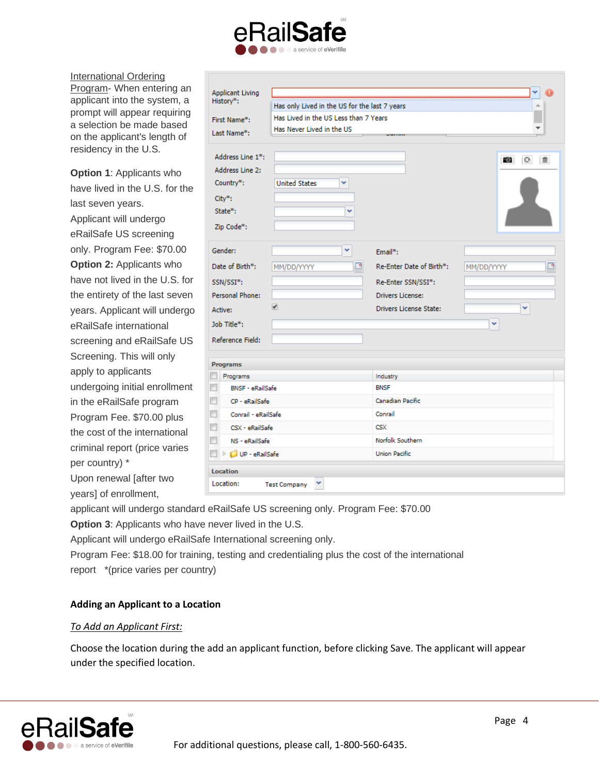

International Ordering Program- When entering an applicant into the system, a prompt will appear requiring a selection be made based on the applicant's length of residency in the U.S.

**Option 1**: Applicants who have lived in the U.S. for the last seven years. Applicant will undergo eRailSafe US screening only. Program Fee: \$70.00 **Option 2:** Applicants who have not lived in the U.S. for the entirety of the last seven years. Applicant will undergo eRailSafe international screening and eRailSafe US Screening. This will only apply to applicants undergoing initial enrollment in the eRailSafe program Program Fee. \$70.00 plus the cost of the international criminal report (price varies per country) \* Upon renewal [after two

| <b>Applicant Living</b><br>History*:<br>First Name*:<br>Last Name*:                                                                                                            | Has only Lived in the US for the last 7 years<br>∸<br>Has Lived in the US Less than 7 Years<br>Has Never Lived in the US<br><b>NUMBER</b> |                                                                                                                                |                                |  |  |  |  |
|--------------------------------------------------------------------------------------------------------------------------------------------------------------------------------|-------------------------------------------------------------------------------------------------------------------------------------------|--------------------------------------------------------------------------------------------------------------------------------|--------------------------------|--|--|--|--|
| Address Line 1*:<br>Address Line 2:<br>Country <sup>*</sup> :<br>City*:<br>State*:<br>Zip Code*:                                                                               | <b>United States</b><br>v                                                                                                                 |                                                                                                                                | $\mathbf{G}$<br>$\bullet$<br>自 |  |  |  |  |
| Gender:<br>Date of Birth*:<br>SSN/SSI*:<br>Personal Phone:<br>Active:<br>Job Title*:<br>Reference Field:                                                                       | v<br>⊡<br>MM/DD/YYYY<br>ᢦ                                                                                                                 | Email*:<br>Re-Enter Date of Birth*:<br>Re-Enter SSN/SSI*:<br><b>Drivers License:</b><br><b>Drivers License State:</b>          | MM/DD/YYYY<br>v<br>v           |  |  |  |  |
| <b>Programs</b><br>Programs<br><b>BNSF - eRailSafe</b><br>m<br>CP - eRailSafe<br>Conrail - eRailSafe<br>n<br>п<br>CSX - eRailSafe<br>п<br>NS - eRailSafe<br>D D UP - eRailSafe |                                                                                                                                           | Industry<br><b>BNSF</b><br>Canadian Pacific<br>Conrail<br>$\mathsf{CS} \mathsf{X}$<br>Norfolk Southern<br><b>Union Pacific</b> |                                |  |  |  |  |
| Location                                                                                                                                                                       |                                                                                                                                           |                                                                                                                                |                                |  |  |  |  |
| Location:                                                                                                                                                                      | <b>Test Company</b>                                                                                                                       |                                                                                                                                |                                |  |  |  |  |

applicant will undergo standard eRailSafe US screening only. Program Fee: \$70.00

**Option 3**: Applicants who have never lived in the U.S.

Applicant will undergo eRailSafe International screening only.

Program Fee: \$18.00 for training, testing and credentialing plus the cost of the international report \*(price varies per country)

# **Adding an Applicant to a Location**

# *To Add an Applicant First:*

years] of enrollment,

Choose the location during the add an applicant function, before clicking Save. The applicant will appear under the specified location.

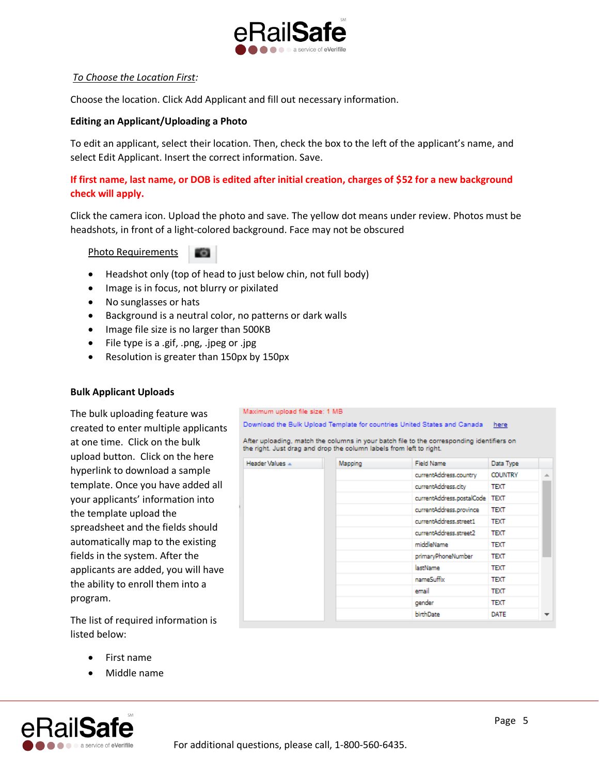

### *To Choose the Location First:*

Choose the location. Click Add Applicant and fill out necessary information.

### **Editing an Applicant/Uploading a Photo**

To edit an applicant, select their location. Then, check the box to the left of the applicant's name, and select Edit Applicant. Insert the correct information. Save.

# **If first name, last name, or DOB is edited after initial creation, charges of \$52 for a new background check will apply.**

Click the camera icon. Upload the photo and save. The yellow dot means under review. Photos must be headshots, in front of a light-colored background. Face may not be obscured

Maximum upload file size: 1 MB

Header Values A

Download the Bulk Upload Template for countries United States and Canada

the right. Just drag and drop the column labels from left to right.

Mapping

After uploading, match the columns in your batch file to the corresponding identifiers on

Field Name

middleName

lastName

email

gender birthDate

nameSuffix

currentAddress.country

currentAddress.street2

primaryPhoneNumber

currentAddress.postalCode TEXT currentAddress.province TEXT currentAddress.street1

currentAddress.city

Photo Requirements

- Headshot only (top of head to just below chin, not full body)
- Image is in focus, not blurry or pixilated
- No sunglasses or hats
- Background is a neutral color, no patterns or dark walls
- Image file size is no larger than 500KB
- File type is a .gif, .png, .jpeg or .jpg
- Resolution is greater than 150px by 150px

#### **Bulk Applicant Uploads**

The bulk uploading feature was created to enter multiple applicants at one time. Click on the bulk upload button. Click on the here hyperlink to download a sample template. Once you have added all your applicants' information into the template upload the spreadsheet and the fields should automatically map to the existing fields in the system. After the applicants are added, you will have the ability to enroll them into a program.

The list of required information is listed below:

- First name
- Middle name





here

Data Type

**COUNTRY TEXT** 

**TEXT** 

**TEXT** 

**TEXT** 

**TEXT** 

**TEXT** 

**TEXT TEXT** 

**TEXT** 

**DATE** 

For additional questions, please call, 1-800-560-6435.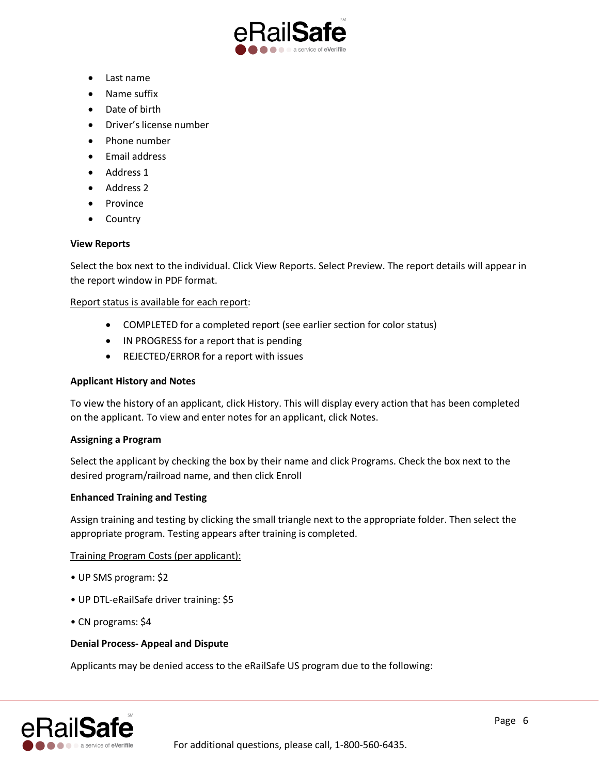

- Last name
- Name suffix
- Date of birth
- Driver's license number
- Phone number
- Email address
- Address 1
- Address 2
- Province
- Country

### **View Reports**

Select the box next to the individual. Click View Reports. Select Preview. The report details will appear in the report window in PDF format.

### Report status is available for each report:

- COMPLETED for a completed report (see earlier section for color status)
- IN PROGRESS for a report that is pending
- REJECTED/ERROR for a report with issues

### **Applicant History and Notes**

To view the history of an applicant, click History. This will display every action that has been completed on the applicant. To view and enter notes for an applicant, click Notes.

#### **Assigning a Program**

Select the applicant by checking the box by their name and click Programs. Check the box next to the desired program/railroad name, and then click Enroll

#### **Enhanced Training and Testing**

Assign training and testing by clicking the small triangle next to the appropriate folder. Then select the appropriate program. Testing appears after training is completed.

#### Training Program Costs (per applicant):

- UP SMS program: \$2
- UP DTL-eRailSafe driver training: \$5
- CN programs: \$4

#### **Denial Process- Appeal and Dispute**

Applicants may be denied access to the eRailSafe US program due to the following:

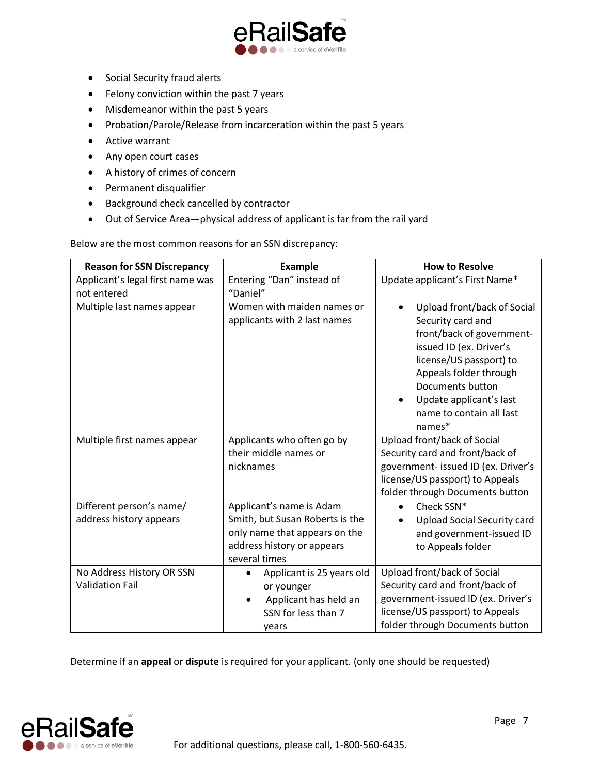

- Social Security fraud alerts
- Felony conviction within the past 7 years
- Misdemeanor within the past 5 years
- Probation/Parole/Release from incarceration within the past 5 years
- Active warrant
- Any open court cases
- A history of crimes of concern
- Permanent disqualifier
- Background check cancelled by contractor
- Out of Service Area—physical address of applicant is far from the rail yard

Below are the most common reasons for an SSN discrepancy:

| <b>Reason for SSN Discrepancy</b>                   | <b>Example</b>                                                                                                                              | <b>How to Resolve</b>                                                                                                                                                                                                                                           |
|-----------------------------------------------------|---------------------------------------------------------------------------------------------------------------------------------------------|-----------------------------------------------------------------------------------------------------------------------------------------------------------------------------------------------------------------------------------------------------------------|
| Applicant's legal first name was<br>not entered     | Entering "Dan" instead of<br>"Daniel"                                                                                                       | Update applicant's First Name*                                                                                                                                                                                                                                  |
| Multiple last names appear                          | Women with maiden names or<br>applicants with 2 last names                                                                                  | Upload front/back of Social<br>$\bullet$<br>Security card and<br>front/back of government-<br>issued ID (ex. Driver's<br>license/US passport) to<br>Appeals folder through<br>Documents button<br>Update applicant's last<br>name to contain all last<br>names* |
| Multiple first names appear                         | Applicants who often go by<br>their middle names or<br>nicknames                                                                            | Upload front/back of Social<br>Security card and front/back of<br>government- issued ID (ex. Driver's<br>license/US passport) to Appeals<br>folder through Documents button                                                                                     |
| Different person's name/<br>address history appears | Applicant's name is Adam<br>Smith, but Susan Roberts is the<br>only name that appears on the<br>address history or appears<br>several times | Check SSN*<br>$\bullet$<br><b>Upload Social Security card</b><br>and government-issued ID<br>to Appeals folder                                                                                                                                                  |
| No Address History OR SSN<br><b>Validation Fail</b> | Applicant is 25 years old<br>$\bullet$<br>or younger<br>Applicant has held an<br>SSN for less than 7<br>years                               | Upload front/back of Social<br>Security card and front/back of<br>government-issued ID (ex. Driver's<br>license/US passport) to Appeals<br>folder through Documents button                                                                                      |

Determine if an **appeal** or **dispute** is required for your applicant. (only one should be requested)

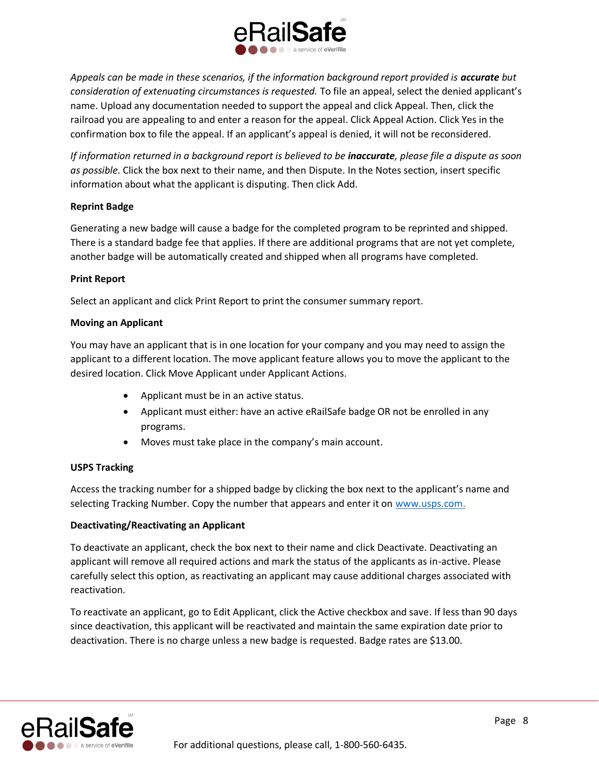

Appeals can be made in these scenarios, if the information background report provided is **accurate** but *consideration of extenuating circumstances is requested.* To file an appeal, select the denied applicant's name. Upload any documentation needed to support the appeal and click Appeal. Then, click the railroad you are appealing to and enter a reason for the appeal. Click Appeal Action. Click Yes in the confirmation box to file the appeal. If an applicant's appeal is denied, it will not be reconsidered.

*If information returned in a background report is believed to be inaccurate, please file a dispute as soon as possible.* Click the box next to their name, and then Dispute. In the Notes section, insert specific information about what the applicant is disputing. Then click Add.

### **Reprint Badge**

Generating a new badge will cause a badge for the completed program to be reprinted and shipped. There is a standard badge fee that applies. If there are additional programs that are not yet complete, another badge will be automatically created and shipped when all programs have completed.

### **Print Report**

Select an applicant and click Print Report to print the consumer summary report.

### **Moving an Applicant**

You may have an applicant that is in one location for your company and you may need to assign the applicant to a different location. The move applicant feature allows you to move the applicant to the desired location. Click Move Applicant under Applicant Actions.

- Applicant must be in an active status.
- Applicant must either: have an active eRailSafe badge OR not be enrolled in any programs.
- Moves must take place in the company's main account.

# **USPS Tracking**

Access the tracking number for a shipped badge by clicking the box next to the applicant's name and selecting Tracking Number. Copy the number that appears and enter it on [www.usps.com.](http://www.usps.com/)

# **Deactivating/Reactivating an Applicant**

To deactivate an applicant, check the box next to their name and click Deactivate. Deactivating an applicant will remove all required actions and mark the status of the applicants as in-active. Please carefully select this option, as reactivating an applicant may cause additional charges associated with reactivation.

To reactivate an applicant, go to Edit Applicant, click the Active checkbox and save. If less than 90 days since deactivation, this applicant will be reactivated and maintain the same expiration date prior to deactivation. There is no charge unless a new badge is requested. Badge rates are \$13.00.

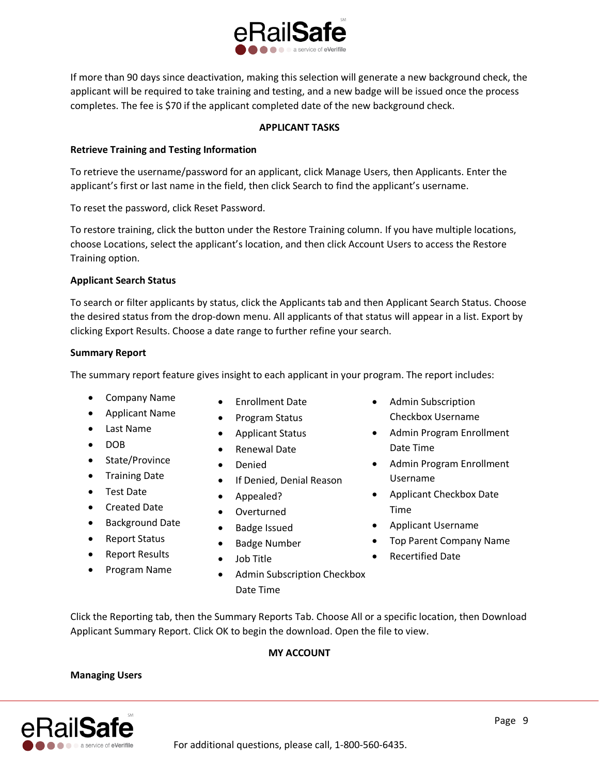

If more than 90 days since deactivation, making this selection will generate a new background check, the applicant will be required to take training and testing, and a new badge will be issued once the process completes. The fee is \$70 if the applicant completed date of the new background check.

# **APPLICANT TASKS**

# **Retrieve Training and Testing Information**

To retrieve the username/password for an applicant, click Manage Users, then Applicants. Enter the applicant's first or last name in the field, then click Search to find the applicant's username.

To reset the password, click Reset Password.

To restore training, click the button under the Restore Training column. If you have multiple locations, choose Locations, select the applicant's location, and then click Account Users to access the Restore Training option.

# **Applicant Search Status**

To search or filter applicants by status, click the Applicants tab and then Applicant Search Status. Choose the desired status from the drop-down menu. All applicants of that status will appear in a list. Export by clicking Export Results. Choose a date range to further refine your search.

# **Summary Report**

The summary report feature gives insight to each applicant in your program. The report includes:

- Company Name
- Applicant Name
- Last Name
- DOB
- State/Province
- Training Date
- Test Date
- Created Date
- Background Date
- Report Status
- Report Results
- Program Name
- Enrollment Date
- Program Status
- Applicant Status
- Renewal Date
- Denied
- If Denied, Denial Reason
- Appealed?
- Overturned
- Badge Issued
- Badge Number
- Job Title
- Admin Subscription Checkbox Date Time
- Admin Subscription Checkbox Username
- Admin Program Enrollment Date Time
- Admin Program Enrollment Username
- Applicant Checkbox Date Time
- Applicant Username
- Top Parent Company Name
- Recertified Date

Click the Reporting tab, then the Summary Reports Tab. Choose All or a specific location, then Download Applicant Summary Report. Click OK to begin the download. Open the file to view.

# **MY ACCOUNT**

# **Managing Users**

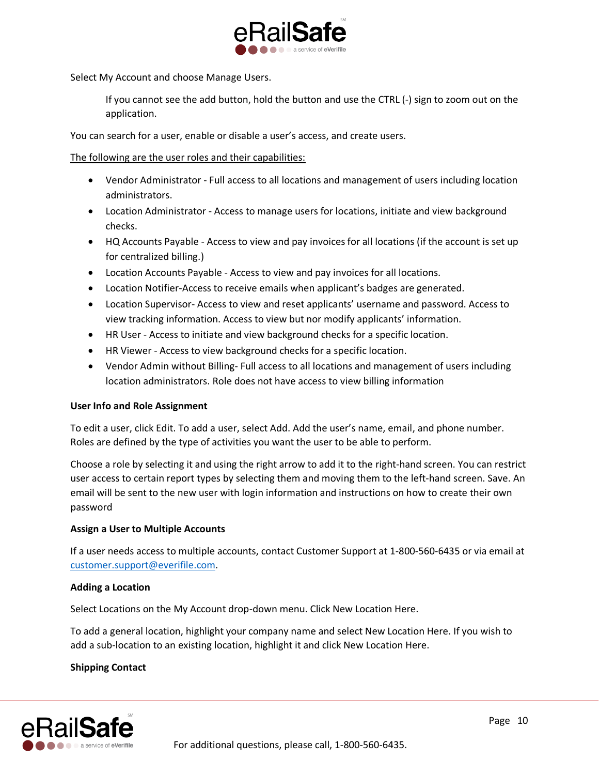

Select My Account and choose Manage Users.

If you cannot see the add button, hold the button and use the CTRL (-) sign to zoom out on the application.

You can search for a user, enable or disable a user's access, and create users.

The following are the user roles and their capabilities:

- Vendor Administrator Full access to all locations and management of users including location administrators.
- Location Administrator Access to manage users for locations, initiate and view background checks.
- HQ Accounts Payable Access to view and pay invoices for all locations (if the account is set up for centralized billing.)
- Location Accounts Payable Access to view and pay invoices for all locations.
- Location Notifier-Access to receive emails when applicant's badges are generated.
- Location Supervisor- Access to view and reset applicants' username and password. Access to view tracking information. Access to view but nor modify applicants' information.
- HR User Access to initiate and view background checks for a specific location.
- HR Viewer Access to view background checks for a specific location.
- Vendor Admin without Billing- Full access to all locations and management of users including location administrators. Role does not have access to view billing information

#### **User Info and Role Assignment**

To edit a user, click Edit. To add a user, select Add. Add the user's name, email, and phone number. Roles are defined by the type of activities you want the user to be able to perform.

Choose a role by selecting it and using the right arrow to add it to the right-hand screen. You can restrict user access to certain report types by selecting them and moving them to the left-hand screen. Save. An email will be sent to the new user with login information and instructions on how to create their own password

#### **Assign a User to Multiple Accounts**

If a user needs access to multiple accounts, contact Customer Support at 1-800-560-6435 or via email at [customer.support@everifile.com.](mailto:customer.support@everifile.com)

#### **Adding a Location**

Select Locations on the My Account drop-down menu. Click New Location Here.

To add a general location, highlight your company name and select New Location Here. If you wish to add a sub-location to an existing location, highlight it and click New Location Here.

# **Shipping Contact**